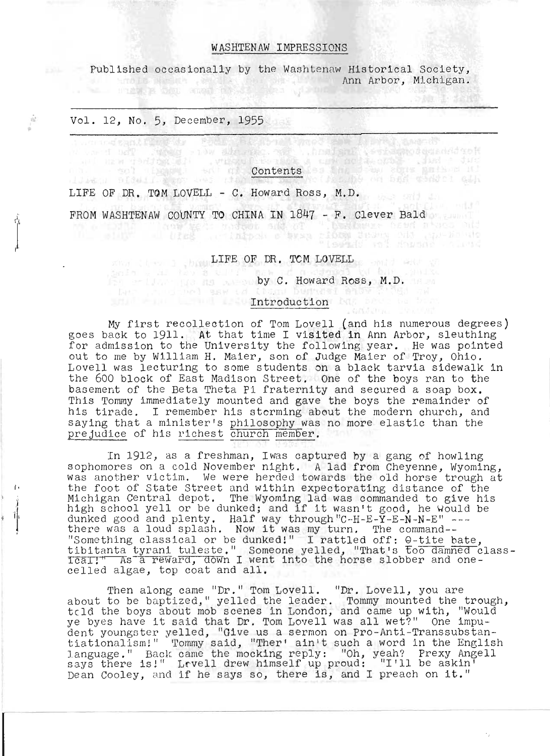#### WASHTENAW IMPRESSIONS

Published occasionally by the Washtenaw Historical Society, Ann Arbor, Michigan.

#### Vol. 12, No.5, December, 1955

 $\tilde{\mathbf{u}}$ 

# Contents

LIFE OF DR. TOM LOVELL - C. Howard Ross, M.D.

FROM WASHTENAW COUNTY TO CHINA IN 1847 - F. Clever Bald

ENGINEERING LIFE OF DR. TOM LOVELLY SERVICE

by C. Howard Ross, M.D.

#### Introduction

My first recollection of Tom Lovell (and his numerous degrees) goes back to 1911. At that time I visited in Ann Arbor, sleuthing for admission to the University the following year. He was pointed out to me by William H. Maier, son of Judge Maier of Troy, Ohio. Lovell was lecturing to some students on a black tarvia sidewalk in the 600 block of East Madison Street. One of the boys ran to the basement of the Beta Theta Pi fraternity and secured a soap box. This Tommy immediately mounted and gave the boys the remainder of his tirade. I remember his storming about the modern church, and saying that a minister's philosophy was no more elastic than the prejudice of his richest church member.

In 1912, as a freshman, Iwas captured by a gang of howling sophomores on a cold November night. A lad from Cheyenne, Wyoming, was another victim. We were herded towards the old horse trough at was another victim. We were herded towards the old horse trough a the foot of State Street and within expectorating distance of the one root of State Street and writhin expectorating distance of the<br>Michigan Central depot. The Wyoming lad was commanded to give his<br>high school yell or be dunked; and if it wasn't good, he Would be dunked good and plenty. Half way through "C--H-E-Y-E-N-N-E" ---<br>dunked good and plenty. Half way through "C--H-E-Y-E-N-N-E" ---<br>there was a loud splash. Now it was my turn. The command--Something classical or be dunked!" I rattled off: 0-tite bate, tibitanta tyrani tuleste." Someone yelled, "That's too damned class-<br>tibitanta tyrani tuleste." Someone yelled, "That's too damned class-<br>IcaII" As a reward, down I went into the horse slobber and oneical: As a reward, down I wend<br>celled algae, top coat and all.

Then along came "Dr." Tom Lovell. "Dr. Lovell, you are about to be baptized," yelled the leader. The bovein, you are trough,<br>tcld the boys about mob scenes in London, and came up with, "Would tcld the boys about mob scenes in London, and came up with, "would<br>ye byes have it said that Dr. Tom Lovell was all wet?" One impu-<br>dent youngster yelled, "Give us a sermon on Pro-Anti-Transsubstandent youngster yerred, "Give us a sermon on Pro-Antr-Transsubstan-<br>tiationalism!" Tommy said, "Ther' ain't such a word in the English<br>language." Back came the mocking reply: "Oh, yeah? Prexy Angell language." Back came the mocking reply: "On, yean? Prexy Ange<br>says there is!" Lrvell drew himself up proud: "I'll be askin' Dean Cooley, and if he says so, there is, and I preach on it."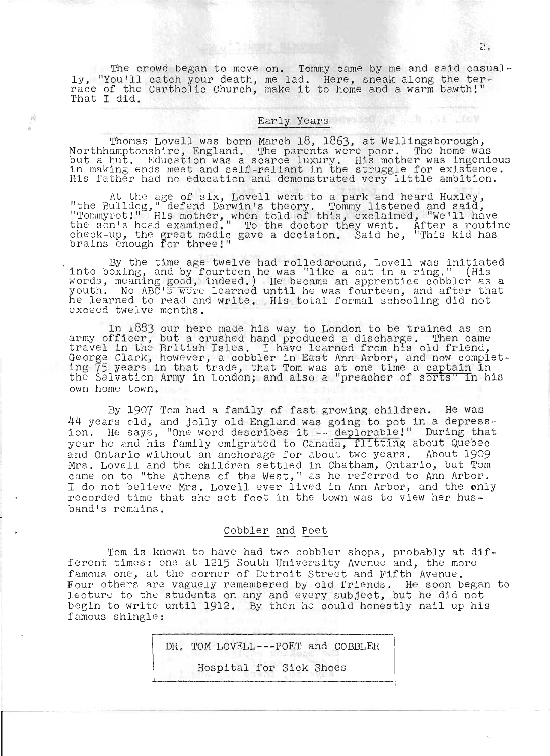The crowd began to move on. Tommy came by me and said casually, "You'll catch your death, race of the Cartholic Church, That I did. on. I change one by the dird based one had. Here, sneak along the ter-<br>make it to home and a warm bawth!"

#### Early Years

 $\hat{m}$ 

Thomas Lovell was born March 18, 1863, at Wellingsborough, Northhamptonshlre, England. The parents were poor. The home was but a hut. Education was a scarce luxury. His mother was ingenious<br>in making ends meet and self-reliant in the struggle for existence. in making ends meet and self-reliant in the struggle for existence<br>His father had no education and demonstrated very little ambition.

At the age of six, Lovell went to a park and heard Huxley,<br>the Bulldog," defend Darwin's theory. Tommy listened and said," "Tommyrot!" His mother, when told of this, exclaimed, "We'll have the son's head examined." To the doctor they went. After a routine check-up, the great medic gave a decision. Said he, "This kid has brains enough for three!"

. By the tlme age twelve had rolled around, Lovell was initiated into boxing, and by fourteen he was "like a cat in a ring." (His words, meaning good, indeed.) He became an apprentice cobbler as a words, meaning good, findeed.) He became an apprentice cobbiti as a he learned to read and write. His total formal schooling did not exceed twelve months.

In 1883 our hero made his way to London to be trained as an army officer, but a crushed hand produced a discharge. Then came army officer, but a crushed hand produced a discharge. Then came<br>travel in the British Isles. I have learned from his old friend, George Clark, however, a cobbler in East Ann Arbor, and now complet-<br>ing 75 years in that trade, that Tom was at one time a captain in the Salvation Army in London; and also a "preacher of sorts" in his own home town.

By 1907 Tom had a family of fast growing children. He was 44 years old, and jolly old England was going to pot in a depress-<br>ion. He says, "One word describes it -- deplorable!" During that year he and his family emigrated to Canada, flitting about Quebec and Ontario without an anchorage for about two years. About 1909 Mrs. Lovell and the children settled in Chatham, Ontario, but Tom came on to "the Athens of the West," as he referred to Ann Arbor. I do not believe Mrs. Lovell ever lived in Ann Arbor, and the only recorded time that she set foot in the town was to view her husband's remains.

#### Cobbler and Poet

Tom is known to have had two cobbler shops, probably at different times: one at 1215 South University Avenue and, the more famous one, at the corner of Detroit street and Fifth Avenue. Four others are vaguely remembered by old friends. He soon began to lecture to the students on any and every subject, but he did not begin to write until 1912. By then he could honestly nail up his famous shingle:

DR. TOM LOVELL---POET and COBBLER

Hospital for Sick Shoes

**B** SI INSY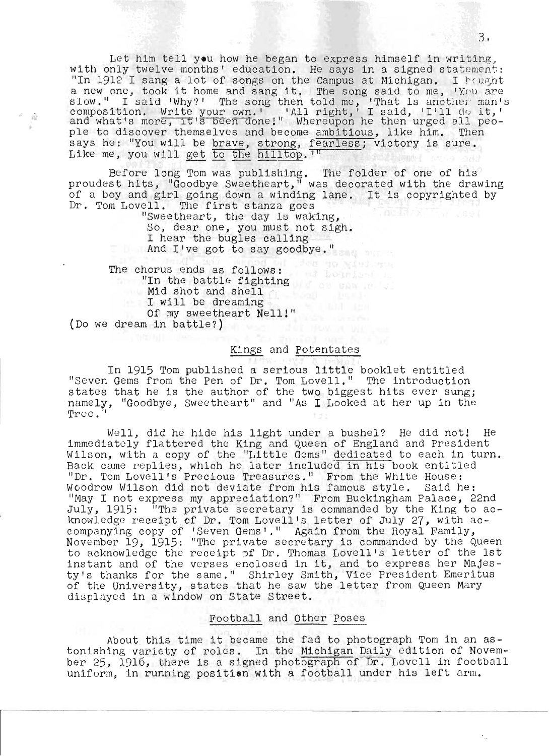Let him tell you how he began to express himself in writing, with only twelve months' education. He says in a signed statement: In 1912 I sang a lot of songs on the Campus at Michigan. I hought In 1912 I sang a 10t of songs on the Campus at Michigan. I Prognt<br>a new one, took it home and sang it. The song said to me, 'You are a new one, cook it home and sang it. The song said to me, the are<br>slow." I said 'Why?' The song then told me, 'That is another man's<br>composition. Write your own.' 'All right,' I said, 'I'll do it,'<br>and what's more, it's be ple to discover themselves and become ambitious, like him. Then says he: "You will be brave, strong, fearless; victory is sure. Like me, you will get to the hilltop.  $TT$ 

Before long Tom was publishing. The folder of one of his proudest hits, "Goodbye Sweetheart," was decorated with the drawing of a boy and girl going down a winding lane. It is copyrighted by of a boy and girl going down a winding<br>Dr. Tom Lovell. The first stanza goes Dr. Tom Lovell. The first stanza goes<br>"Sweetheart, the day is waking,

So, dear one, you must not sigh. I hear the bugles calling And I've got to say goodbye."

Jew to Ninderson The chorus ends as follows: "In the battle fighting" Mid shot and shell I will be dreaming Of my sweetheart Nell!" (Do we dream in battle?)

最

#### Kings and potentates

In 1915 Tom published a serious little booklet entitled "Seven Gems from the pen of Dr. Tom Lovell." The introduction states that he is the author of the two biggest hits ever sung; namely, "Goodbye, Sweetheart" and "As I Looked at her up in the Tree."

Well, did he hide his light under a bushel? He did not! He weil, did he hide his light under a bushel? He did hot: He<br>immediately flattered the King and Queen of England and President Wilson, with a copy of the "Little Gems" dedicated to each in turn. Back came replies, which he later included in his book entitled "Dr. Tom Lovell's Precious Treasures." From the White House: Woodrow Wilson did not deviate from his famous style. Said he: "May I not express my appreciation?" From Buckingham Palace, 22nd July, 1915: "The private secretary is commanded by the King to acknowledge receipt of Dr. Tom Lovell's letter of July 27, with accompanying copy of 'Seven Gems'." Again from the Royal Family, November 19, 1915: "The private secretary is commanded by the Queen to acknowledge the receipt of Dr. Thomas Lovell's letter of the 1st to acknowledge the receipt pi Dr. Thomas Lovell's letter of the ist<br>Instant and of the verses enclosed in it, and to express her Majesty's thanks for the same." Shirley Smith, Vice President Emeritus by s thanks for the same. Shirley Smith, vice fresident Emerica<br>of the University, states that he saw the letter from Queen Mary displayed in a window on State Street.

#### Football and Other poses

About this time it became the fad to photograph Tom in an astonishing variety of roles. In the Michigan Daily edition of Novembe r 25, 1916, there is a signed photograph of Dr. Lovell in football uniform, in running position with a football under his left arm.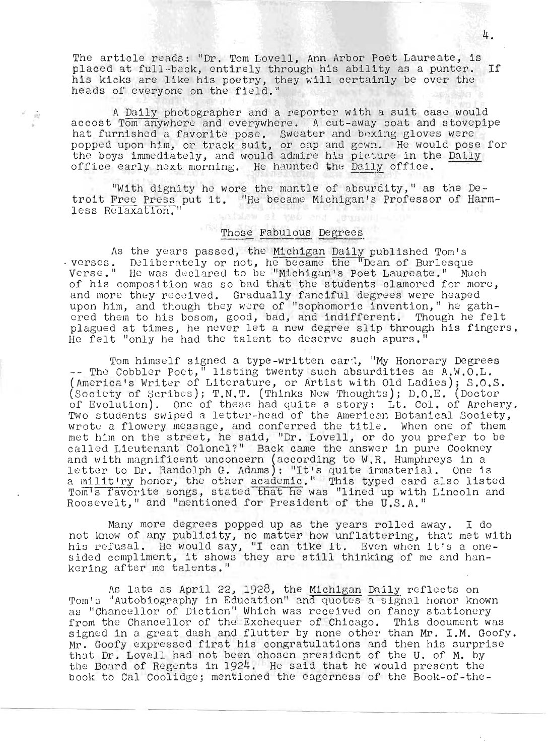The article reads: "Dr. Tom Lovell, Ann Arbor Poet Laureate, is placed at full-back, entirely through his ability as a punter. If his kicks are like his poetry, they will certainly be over the heads of everyone on the field."

A Daily photographer and a reporter with a suit case would accost Tom anywhere and everywhere. A cut-away coat and stovepipe hat furnished a favorite pose. Sweater and bexing gloves were popped upon him, or track suit, or cap and gown. He would pose for the boys immediately, and would admire his picture in the <u>Daily</u><br>office early next morning. He haunted the Daily office.

 $\tilde{\nu}_k$ 

"With dignity he wore the mantle of absurdity," as the Detroit Free Press put 1t. "He became Michigan's Professor of Harmless Relaxation.' el teó ana ith

#### Those Fabulous Degrees

As the years passed, the Michigan Daily published Tom's<br>verses. Deliberately or not, he became the "Dean of Burlesque<br>Verse." He was declared to be "Michigan's Poet Laureate." Much of his composition was so bad that the students clamored for more, and more they received. Gradually fanciful degrees were heaped upon him, and though they were of "sophomoric invention," he gathered them to his bosom, good, bad, and indifferent. Though he felt plagued at times, he never let a new degree slip through his fingers. He felt "only he had the talent to deserve such spurs.'

Tom himself signed a type-written card, "My Honorary Degrees -- The Cobbler Poet," listing twenty such absurdities as A.W.O.L. (America's Writer of Literature, or Artist with Old Ladies); S.O.S. (Society of Seribes); T.N.T. (Thinks New Thoughts); D.O.E. (Doctor of Evolution). One of these had quite a story: Lt. Col. of Archery. Two students swiped a letter-head of the American Botanical Society. wrote a flowery message, and conferred the title. When one of them met him on the street, he said, "Dr. Lovell, or do you prefer to be called Lieutenant Colonel?" Back came the answer in pure Cockney and with magnificent unconcern (according to W.R. Humphreys in a<br>letter to Dr. Randolph G. Adams): "It's quite immaterial. One is<br>a milit'ry honor, the other academic." This typed card also listed<br>Tom's favorite songs, sta Roosevelt," and "mentioned for President of the U.S.A."

Many more degrees popped up as the years rolled away. I do not know of any publicity, no matter how unflattering, that met with his refusal. He would say, "I can tike it. Even when it's a one-<br>sided compliment, it shows they are still thinking of me and hankering after me talents."

As late as April 22, 1928, the Michigan Daily reflects on<br>Tom's "Autobiography in Education" and quotes a signal honor known as "Chancellor of Diction" Which was received on fancy stationery from the Chancellor of the Exchequer of Chicago. This document was signed in a great dash and flutter by none other than Mr. I.M. Goofy. Mr. Goofy expressed first his congratulations and then his surprise that Dr. Lovell had not been chosen president of the U. of M. by the Board of Regents in 1924. He said that he would present the book to Cal Coolidge; mentioned the eagerness of the Book-of-the-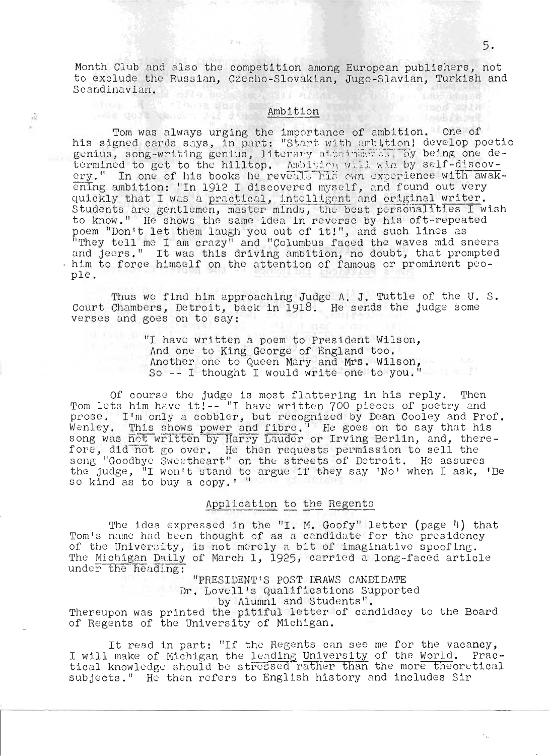Month Club and also the competition among European publishers, not to exclude the Russian, Czecho-Slovakian, Jugo-Slavian, Turkish and Scandinavian. **Little Communication** 

 $-27 - 4$ 

 $\hat{v}_n^{\rm V}$ 

## Ambition

Tom was always urging the importance of ambition. One of his signed cards says, in part: "Start with ambition! develop poetic genius, song-writing genius, literary atoainments, by being one determined to get to the hilltop. Ambition will win by self-discovery." In one of his books he reveals his own experience with awak-<br>ening ambition: "In 1912 I discovered myself, and found out very quickly that I was a practical, intelligent and original writer. Students are gentlemen, master minds, the best personalities I wish to know." He shows the same idea in reverse by his oft-repeated poem "Don't let them laugh you out of it!", and such lines as<br>"They tell me I am crazy" and "Columbus faced the waves mid sneers<br>and jeers." It was this driving ambition, no doubt, that prompted . him to force himself on the attention of famous or prominent people.

Thus we find him approaching Judge A. J. Tuttle of the U. S. Court Chambers, Detroit, back in 1918. He sends the judge some verses and goes on to say:

"I have written a poem to President Wilson, And one to King George of England too. Another one to Queen Mary and Mrs. Wilson, So -- I thought I would write one to you."

Of course the judge is most flattering in his reply. Then Tom lets him have it!-- "I have written 700 pieces of poetry and prose. I'm only a cobbler, but recognized by Dean Cooley and Prof. Wenley. This shows power and fibre." He goes on to say that his<br>song was not written by Harry Lauder or Irving Berlin, and, therefore, did not go over. He then requests permission to sell the song "Goodbye Sweetheart" on the streets of Detroit. He assures the judge, "I won't stand to argue if they say 'No' when I ask, 'Be so kind as to buy a copy.' "

#### Application to the Regents

The idea expressed in the "I. M. Goofy" letter (page 4) that Tom's name had been thought of as a candidate for the presidency of the University, is not merely a bit of imaginative spoofing. The Michigan Daily of March 1, 1925, carried a long-faced article under the heading:

"PRESIDENT'S POST DRAWS CANDIDATE Dr. Lovell's Qualifications Supported by Alumni and Students". Thereupon was printed the pitiful letter of candidacy to the Board of Regents of the University of Michigan.

It read in part: "If the Regents can see me for the vacancy, I will make of Michigan the leading University of the World. Practical knowledge should be stressed rather than the more theoretical subjects." He then refers to English history and includes Sir

11400 3511

**TAND CARTER**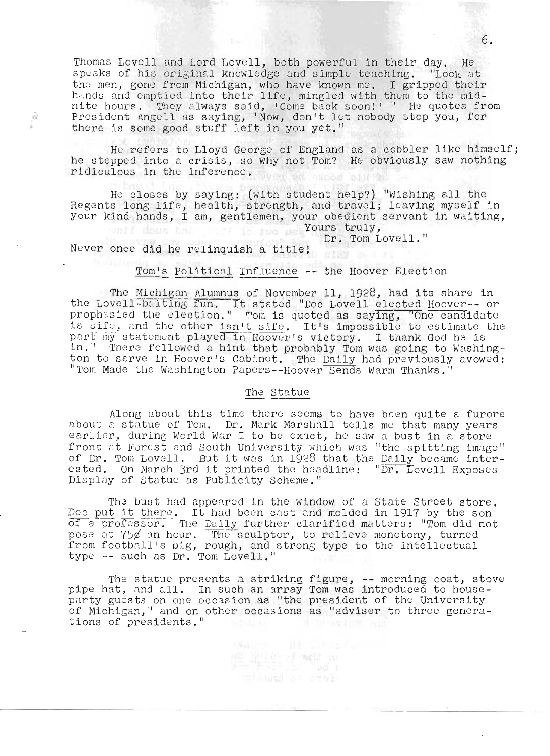Thomas Lovell and Lord Lovell, both powerful in their day. He speaks of his original knowledge and simple teaching. "Lock at tho men, gone from Michigan, who have known *me.* I gripped their  ${\mathfrak{c}}$  men, gone from Michigan, who have known me. I gripped their<br>mands and emptied into their life, mingled with them to the midnite hours. They always said, 'Come back soon!' " He quotes from President Angell as saying, "Now, don't let nobody stop you, for there is some good stuff left in you yet."

He refers to Lloyd George of England as a cobbler like himself; he s tepped into a crisis, so why not Tom? He obviously saw nothing ridiculous in the inference. **Will Home Kit** 

He closes by saying: (with student help?) "Wishing all the Regents long life, health, strength, and travel; leaving myself in your kind hands, I am, gentlemen, your obedient servant in waiting, while down that it is the se Yours truly,

Dr. Tom Lovell."

Never once did he relinquish a title!

 $\frac{1}{2}$ 

Tom's Political Influence -- the Hoover Election

The Michigan Alumnus of November 11, 1928, had its share in the <u>Michigan Alumnus</u> of November 11, 1928, had its share in<br>the Lovell-balting fun. It stated "Dec Lovell elected Hoover-- or" prophesied the election." Tom is quoted as saying, "One candidate is sife, and the other isn't sife. It's impossible to estimate the part my statement played in Hoover's victory. I thank God he is in." There followed a hint that probably Tom was going to Washingthe there reflexed a fille shat prosting for was going to washing-The Conserver in Hoover Schemmer, the Barry Hearth Proviscery

The Statue

Along about this time there seems to have been quite a furore about a statue of Tom. Dr. Mark Marshall tells me that many years earlier, during World War I to be exact, he saw a bust in a store front at Forest and South University which was "the spitting image" of Dr. Tom Lovell. But it was in 1928 that the Daily became interested. On March 3rd it printed the headline: "Dr. Lovell Exposes Display of statue as publicity Scheme."

The bust had appeared in the window of a state Street store. Doc put it there. It had been cast and molded in 1917 by the son bod put it there. It had been cast and molded in 1917 by the son<br>of a professor. The <u>Daily</u> further clarified matters: "Tom did not<br>pose at 75¢ an hour. The sculptor, to relieve monotony, turned from football's big, rough, ancl strong type to *the* intellectual type .- such as Dr. Tom Lovell."

The statue presents a striking figure, -- morning coat, stove phe statue presents a striking ligure, -- morning coat, sto<br>-pipe hat, and all. In such an array Tom was introduced to house pipe nat, and ail. In such an array foll was introduced to house-<br>party guests on one occasion as "the president of the University of Michigan," and on other occasions as "adviser to three generations of presidents."

 $\frac{\partial E}{\partial \phi} = \frac{1}{2} \frac{\partial^2 E}{\partial \phi} \frac{\partial E}{\partial \phi} \frac{\partial E}{\partial \phi} \frac{\partial E}{\partial \phi} \frac{\partial E}{\partial \phi}$ 

6.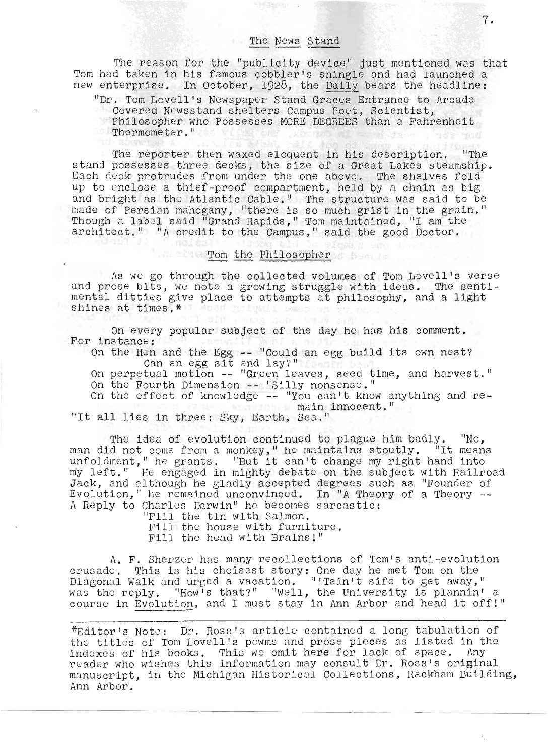#### The News Stand

The reason for the "publicity device" just mentioned was that Tom had taken in his famous cobbler's shingle and had launched a new enterprise. In October, 1928, the Daily bears the headline:

"Dr. Tom Lovell's Newspaper Stand Graces Entrance to Arcade Covered Newsstand shelters Campus Poet, Scientist, Philosopher who Possesses MORE DEGREES than a Fahrenheit Thermometer."

The reporter then waxed eloquent in his description. "The stand possesses three decks, the size of a Great Lakes steamship. eand possesses three decks, the size of a theat hakes steamship.<br>Each deck protrudes from under the one above. The shelves fold atch deck protrudes from under the one above. The sherves fold<br>up to enclose a thief-proof compartment, held by a chain as big and bright as the Atlantic Cable." The structure was said to be made of Persian mahogany, "there is so much grist in the grain." Though a label said "Grand Rapids," Tom maintained, "I am the architect." "A credit to the Campus," said the good Doctor.

### Tom the Philosopher of Dominic

As we go through the collected volumes of Tom Lovell's verse and prose bits, we note a growing struggle with ideas. The sentimental ditties give place to attempts at philosophy, and a light shines at times.\*

On every popular subject of the day he has his comment. For instance :

instance:<br>)n the Hen and the Egg -- "Could an egg build its own nest? In the Hen and the Egg -- "Could an egg build its own nest?<br>10 Oan an egg sit and lay?"<br>20 Oan perpetual motion -- "Green leaves, seed time, and harvest."

On the Fourth Dimension -- "Silly nonsense."

On the effect of knowledge  $-$  "You can't know anything and remain innocent."

"It all lies in three: Sky, Earth, Sea."

 $"$ ,  $103340$ 

The idea of evolution continued to plague him badly. "No, man did not come from a monkey," he maintains stoutly. "It means unfoldment," he grants. "But it can't change my right hand into my left." He engaged in mighty debate on the subject with Railroad Jack, and although he gladly accepted degrees such as "Founder of Evolution," he remained unconvinced. In "A Theory of a Theory --<br>A Reply to Charles Darwin" he becomes sarcastic:

> "Fill the tin with Salmon. Fill the house with furniture. Fill the head with Brains!"

A. F. Sherzer has many recollections of Tom's anti-evolution A. F. Snerzer has many recollections of Tom's anti-evoluti<br>rusade. This is his choisest story: One day he met Tom on the rusade. This is his choisest story: One day he met Tom on the<br>Diagonal Walk and urged a vacation. "'Tain't sife to get away." inagonal waik and urged a vacation, "Train't sire to get away,"<br>was the reply. "How's that?" "Well, the University is plannin' a ras the reply. "How's that?" "Well, the University is plannin' a<br>:ourse in Evolution, and I must stay in Ann Arbor and head it off!"

\*Editor's Note: Dr. Ross's article contained a long tabulation of the titles of Tom Lovell's powms and prose pieces as listed in the indexes of his books. This we omit here for lack of space. Any reader who wishes this information may consult Dr. Ross's original manuscript. in the Michigan Historical Collections, Rackham Building, Ann Arbor.

r--------------------------------------------------------------------------- --------------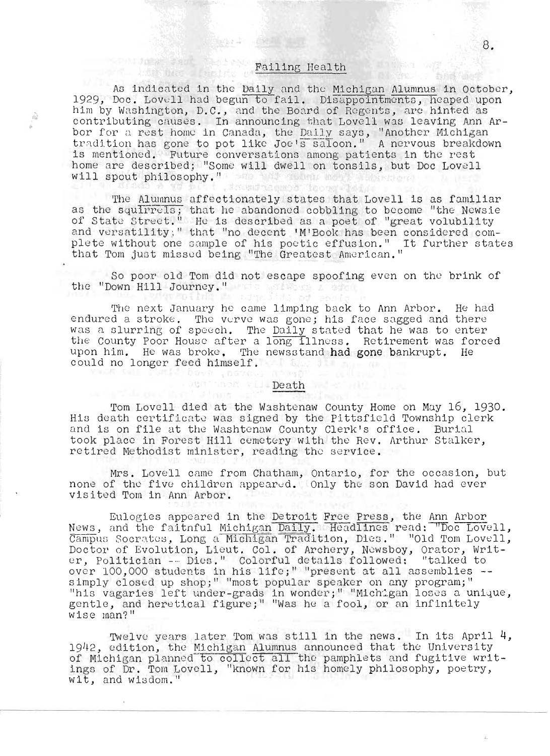## **Failing Health**

**The Lands** 

亳

As indicated in the Daily and the Michigan Alumnus in October, 1929, Doc. Lovell had begun to fail. Disappointments, heaped upon him by Washington, D.C., and the Board of Regents, are hinted as contributing causes. In announcing that Lovell was leaving Ann Arbor for a rest home in Canada, the Daily says, "Another Michigan tradition has gone to pot like Joe's saloon." A nervous breakdown is mentioned. Future conversations among patients in the rest home are described; "Some will dwell on tonsils, but Doc Lovell will spout philosophy." We had then more addentional The und teamers of the orien Chaliforn

The Alumnus affectionately states that Lovell is as familiar as the squirrels; that he abandoned cobbling to become "the Newsie of State Street." He is described as a poet of "great volubility and versatility;" that "no decent 'M'Book has been considered complete without one sample of his poetic effusion." It further states that Tom just missed being "The Greatest American."

So poor old Tom did not escape spoofing even on the brink of the "Down Hill Journey." When the state

The next January he came limping back to Ann Arbor. He had endured a stroke. The verve was gone; his face sagged and there was a slurring of speech. The Daily stated that he was to enter the County Poor House after a long illness. Retirement was forced upon him. He was broke, The newsstand had gone bankrupt. He could no longer feed himself. The same has gone

#### Mantheman Will-Death

basi , botto moral

Tom Lovell died at the Washtenaw County Home on May 16, 1930. His death certificate was signed by the Pittsfield Township clerk and is on file at the Washtenaw County Clerk's office. Burial took place in Forest Hill cemetery with the Rev. Arthur Stalker, retired Methodist minister, reading the service.

Mrs. Lovell came from Chatham, Ontario, for the occasion, but none of the five children appeared. Only the son David had ever visited Tom in Ann Arbor.

Eulogies appeared in the Detroit Free Press, the Ann Arbor News, and the faitnful Michigan Daily. Headlines read: "Doc Lovell, Campus Socrates, Long a Michigan Tradition, Dies." "Old Tom Lovell, Doctor of Evolution, Lieut. Col. of Archery, Newsboy, Orator, Writ-<br>er, Politician -- Dies." Colorful details followed: "talked to over 100,000 students in his life;" "present at all assemblies -simply closed up shop;" "most popular speaker on any program;" "his vagaries left under-grads in wonder; " "Michigan loses a unique, gentle, and heretical figure;" "Was he a fool, or an infinitely wise man?"

Twelve years later Tom was still in the news. In its April 4, 1942, edition, the Michigan Alumnus announced that the University of Michigan planned to collect all the pamphlets and fugitive writings of Dr. Tom Lovell, "known for his homely philosophy, poetry, wit, and wisdom."